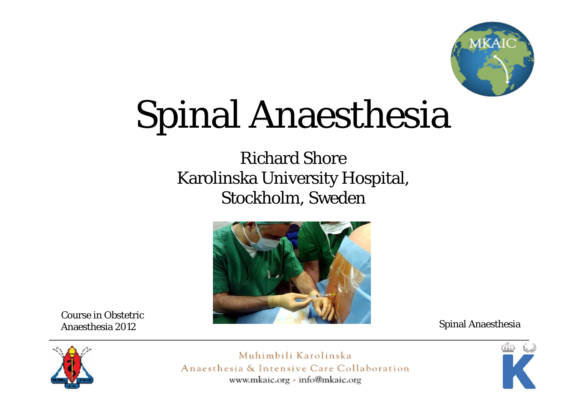

## Spinal Anaesthesia

Richard ShoreKarolinska University Hospital, Stockholm, Sweden



Course in Obstetric Anaesthesia 2012

Spinal Anaesthesia



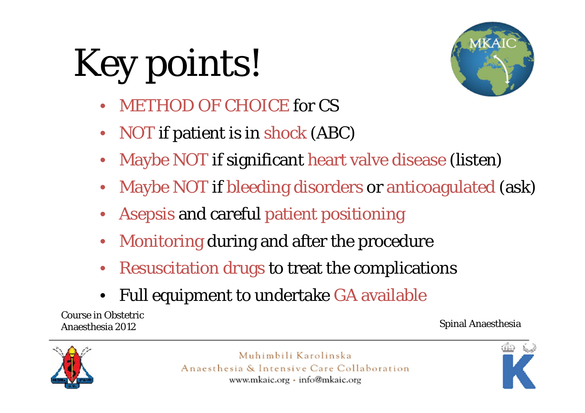# Key points!



- •METHOD OF CHOICE for CS
- •• NOT if patient is in shock (ABC)
- •Maybe NOT if significant heart valve disease (listen)
- •Maybe NOT if bleeding disorders or anticoagulated (ask)
- •Asepsis and careful patient positioning
- •Monitoring during and after the procedure
- •Resuscitation drugs to treat the complications
- •Full equipment to undertake GA available

Course in Obstetric Anaesthesia 2012

#### Spinal Anaesthesia



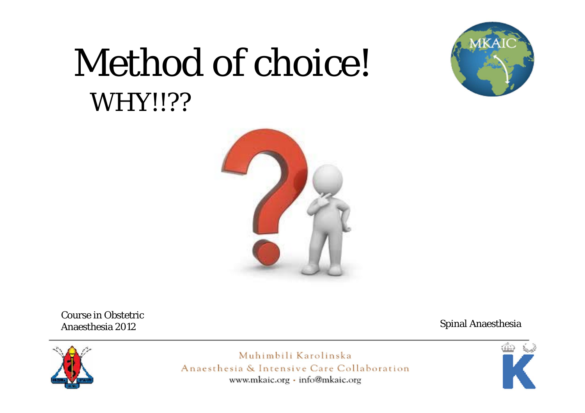### Method of choice! WHY!!??





Course in Obstetric Anaesthesia 2012

Spinal Anaesthesia



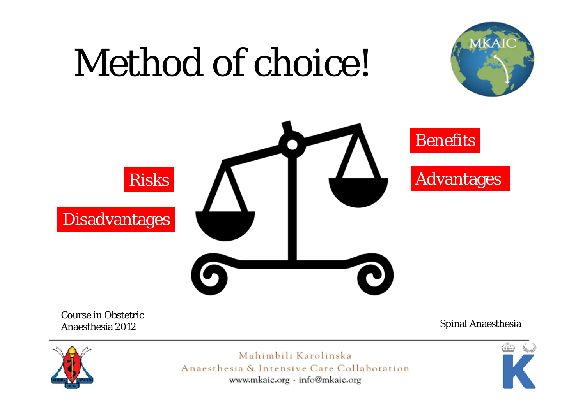# Method of choice!





Course in Obstetric Anaesthesia 2012

Spinal Anaesthesia



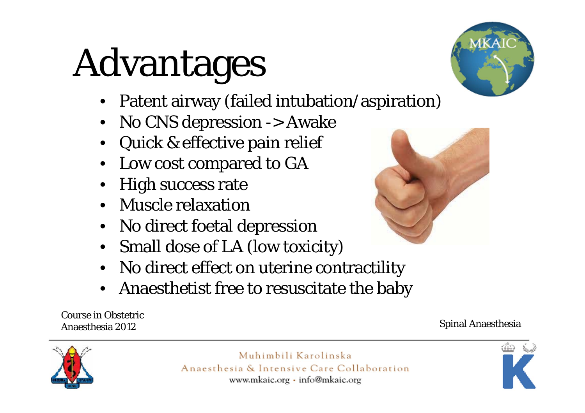# Advantages

- •Patent airway (failed intubation/aspiration)
- •No CNS depression -> Awake
- Quick & effective pain relief
- Low cost compared to GA
- High success rate
- Muscle relaxation
- No direct foetal depression
- Small dose of LA (low toxicity)
- No direct effect on uterine contractility
- Anaesthetist free to resuscitate the baby

Course in Obstetric Anaesthesia 2012

#### Muhimbili Karolinska Anaesthesia & Intensive Care Collaboration www.mkaic.org · info@mkaic.org







Spinal Anaesthesia

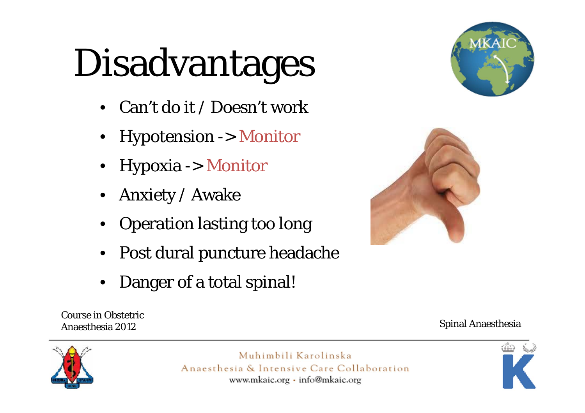# Disadvantages

- Can't do it / Doesn't work
- Hypotension -> Monitor
- Hypoxia -> Monitor
- •Anxiety / Awake
- Operation lasting too long
- •Post dural puncture headache
- •Danger of a total spinal!





Course in Obstetric Anaesthesia 2012

Spinal Anaesthesia



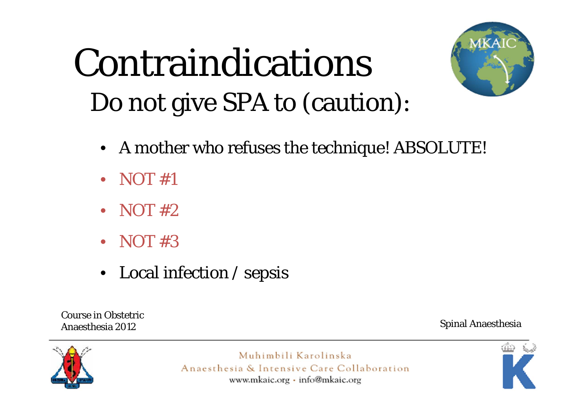### Contraindications Do not give SPA to (caution):



- A mother who refuses the technique! ABSOLUTE!
- NOT #1
- NOT #2
- NOT #3
- Local infection / sepsis

Course in Obstetric Anaesthesia 2012

Spinal Anaesthesia



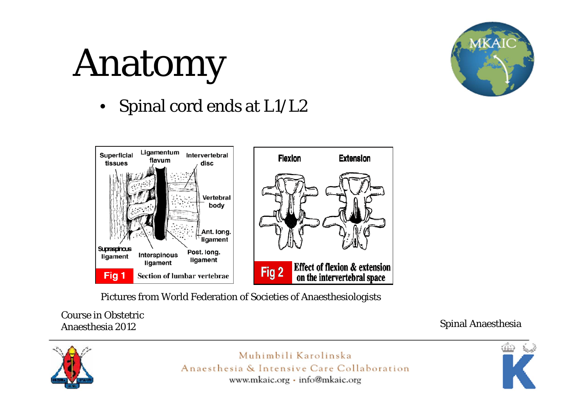# Anatomy



 $\bullet$ Spinal cord ends at L1/L2



Pictures from World Federation of Societies of Anaesthesiologists

Course in Obstetric Anaesthesia 2012

Spinal Anaesthesia



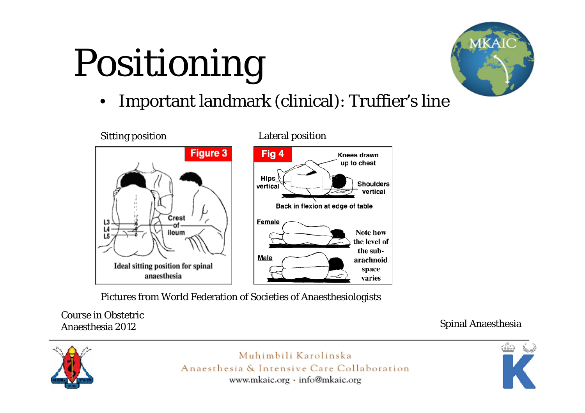# Positioning



•Important landmark (clinical): Truffier's line



Pictures from World Federation of Societies of Anaesthesiologists

Course in Obstetric Anaesthesia 2012

Spinal Anaesthesia



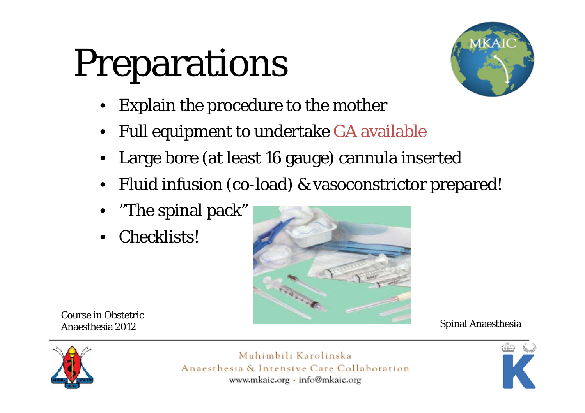# Preparations



- •Explain the procedure to the mother
- •Full equipment to undertake GA available
- Large bore (at least 16 gauge) cannula inserted
- •Fluid infusion (co-load) & vasoconstrictor prepared!
- •"The spinal pack"
- Checklists!



Course in Obstetric Anaesthesia 2012

Spinal Anaesthesia



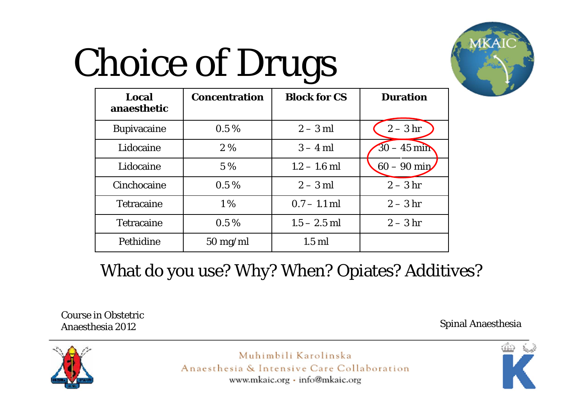# Choice of Drugs



| Local<br>anaesthetic | <b>Concentration</b> | <b>Block for CS</b> | <b>Duration</b> |
|----------------------|----------------------|---------------------|-----------------|
| <b>Bupivacaine</b>   | $0.5\%$              | $2-3$ ml            | $2-3$ hr        |
| Lidocaine            | $2\%$                | $3 - 4$ ml          | $30 - 45$ min   |
| Lidocaine            | 5 %                  | $1.2 - 1.6$ ml      | $60 - 90$ min   |
| Cinchocaine          | $0.5\%$              | $2-3$ ml            | $2-3$ hr        |
| <b>Tetracaine</b>    | $1\%$                | $0.7 - 1.1$ ml      | $2-3$ hr        |
| <b>Tetracaine</b>    | $0.5\%$              | $1.5 - 2.5$ ml      | $2-3$ hr        |
| Pethidine            | $50 \text{ mg/ml}$   | $1.5$ ml            |                 |

What do you use? Why? When? Opiates? Additives?

Course in Obstetric Anaesthesia 2012

Spinal Anaesthesia



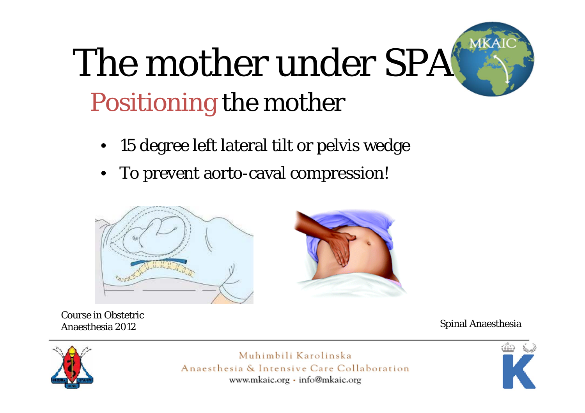## The mother under SPA Positioning the mother

- 15 degree left lateral tilt or pelvis wedge
- •To prevent aorto-caval compression!



Course in Obstetric Anaesthesia 2012

Spinal Anaesthesia



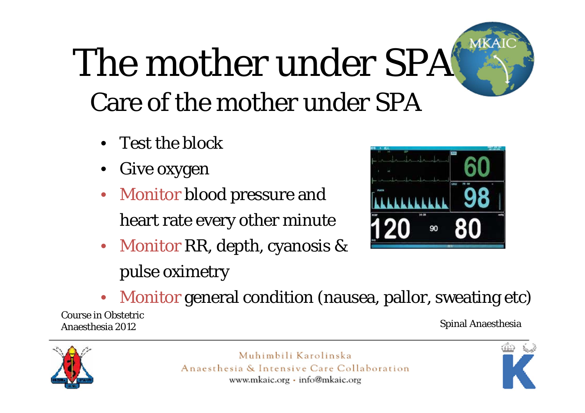## The mother under SPA Care of the mother under SPA

- Test the block
- Give oxygen
- Monitor blood pressure and heart rate every other minute
- Monitor RR, depth, cyanosis & pulse oximetry



• Monitor general condition (nausea, pallor, sweating etc)

Course in Obstetric Anaesthesia 2012

Spinal Anaesthesia



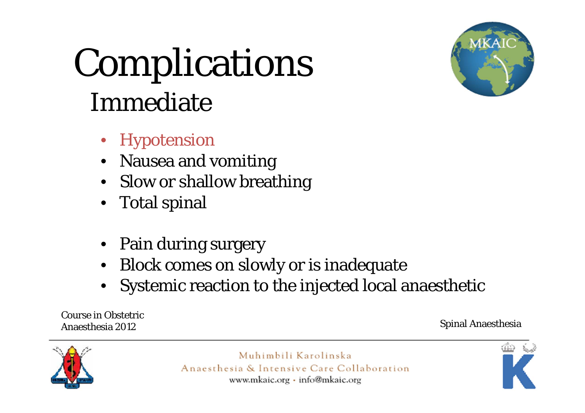### Complications Immediate



- Hypotension
- Nausea and vomiting
- Slow or shallow breathing
- Total spinal
- Pain during surgery
- Block comes on slowly or is inadequate
- Systemic reaction to the injected local anaesthetic

Course in Obstetric Anaesthesia 2012

Spinal Anaesthesia



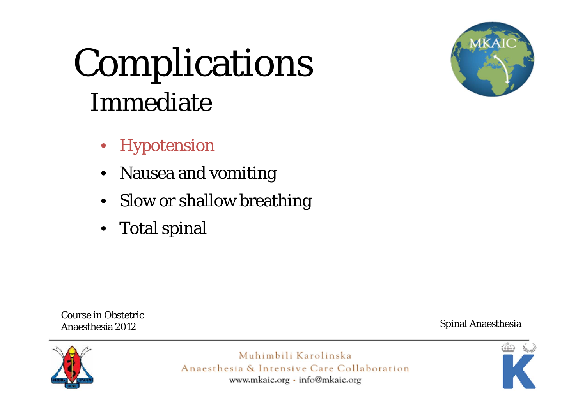### Complications Immediate



- Hypotension
- Nausea and vomiting
- Slow or shallow breathing
- Total spinal

Course in Obstetric Anaesthesia 2012

Spinal Anaesthesia



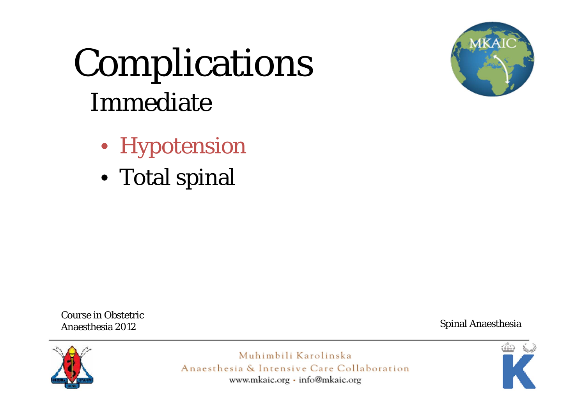### Complications Immediate



- Hypotension
- Total spinal

Course in Obstetric Anaesthesia 2012

Spinal Anaesthesia



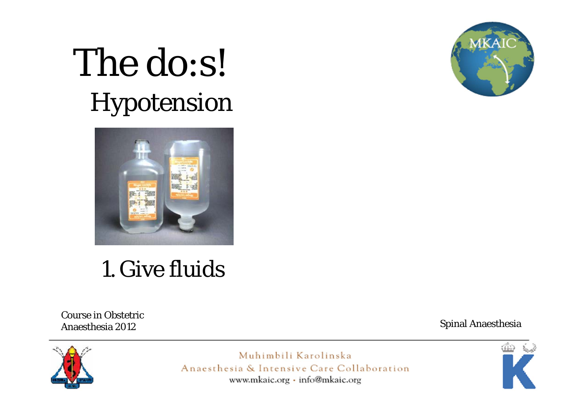



### 1. Give fluids

**Course in Obstetric** Anaesthesia 2012

**Spinal Anaesthesia** 



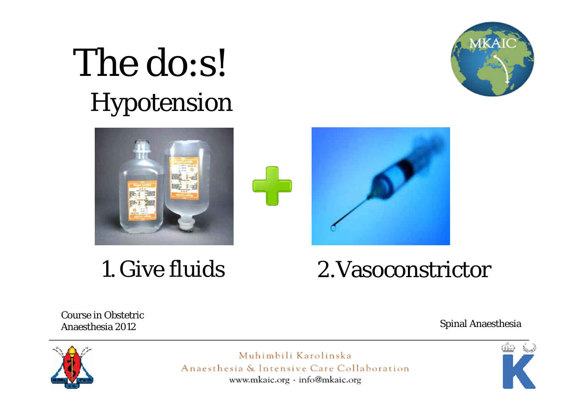



### 1. Give fluids



**Course in Obstetric** Anaesthesia 2012

**Spinal Anaesthesia** 





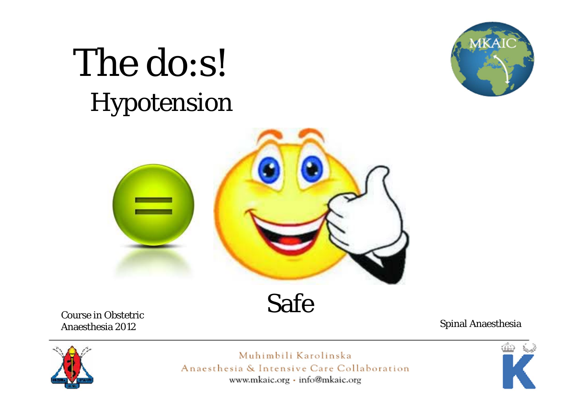



**Course in Obstetric** Anaesthesia 2012

**Spinal Anaesthesia** 



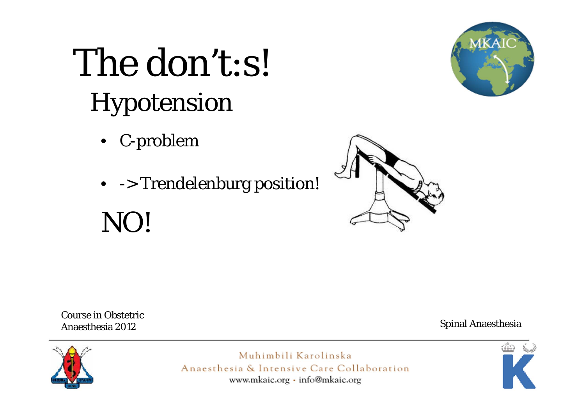- C-problem
- -> Trendelenburg position!

### NO!





**Course in Obstetric** Anaesthesia 2012

**Spinal Anaesthesia** 



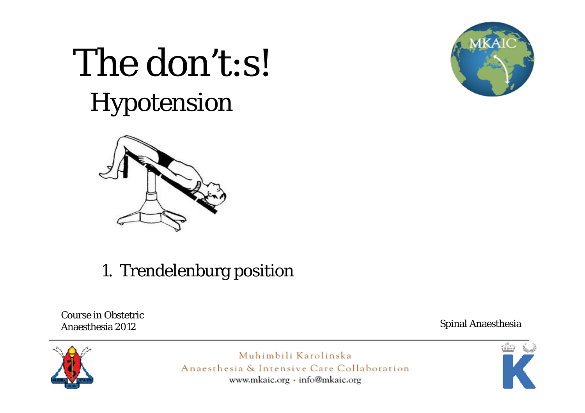

#### 1. Trendelenburg position

**Course in Obstetric** Anaesthesia 2012

**Spinal Anaesthesia** 





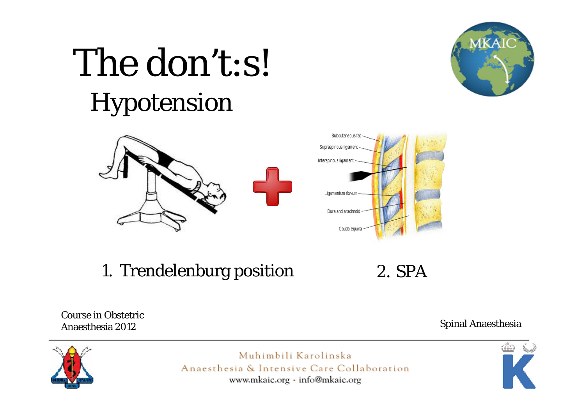



1. Trendelenburg position

 $2.$  SPA

**Course in Obstetric** Anaesthesia 2012

**Spinal Anaesthesia** 





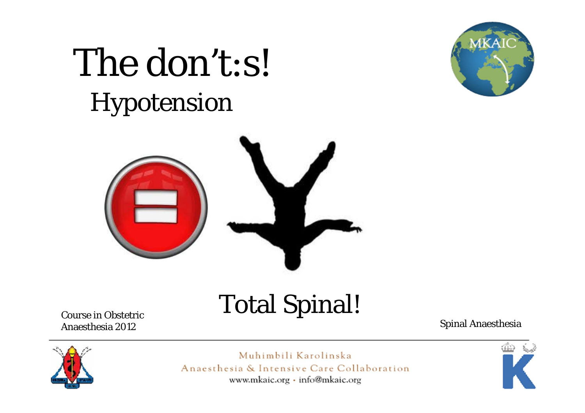





Course in Obstetric Anaesthesia 2012

Spinal Anaesthesia



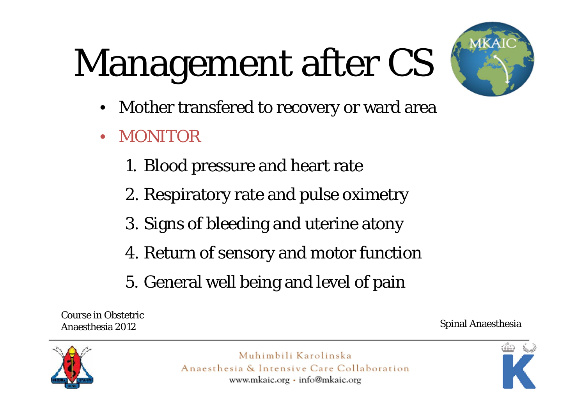# Management after CS



- •Mother transfered to recovery or ward area
- $\bullet$  MONITOR
	- 1. Blood pressure and heart rate
	- 2. Respiratory rate and pulse oximetry
	- 3. Signs of bleeding and uterine atony
	- 4. Return of sensory and motor function
	- 5. General well being and level of pain

Course in Obstetric Anaesthesia 2012

Spinal Anaesthesia



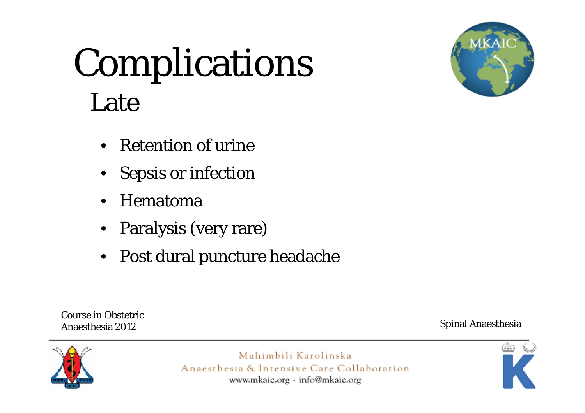### Complications Late



- Retention of urine
- Sepsis or infection
- •Hematoma
- Paralysis (very rare)
- Post dural puncture headache

Course in Obstetric Anaesthesia 2012

Spinal Anaesthesia



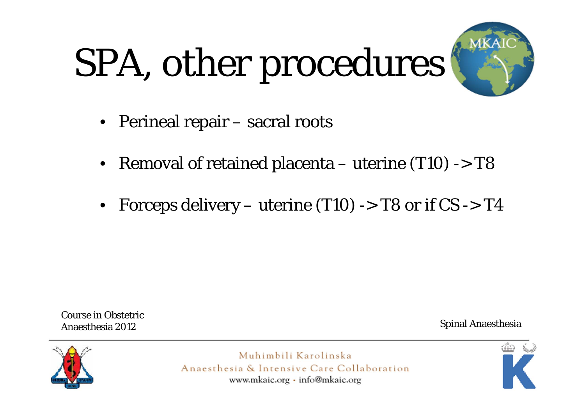# SPA, other procedures



- Perineal repair sacral roots
- Removal of retained placenta uterine (T10) -> T8
- Forceps delivery uterine (T10) -> T8 or if CS -> T4

Course in Obstetric Anaesthesia 2012

Spinal Anaesthesia



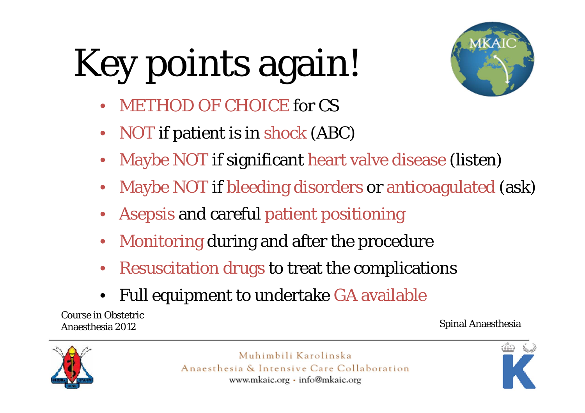# Key points again!



- •METHOD OF CHOICE for CS
- •• NOT if patient is in shock (ABC)
- •Maybe NOT if significant heart valve disease (listen)
- •Maybe NOT if bleeding disorders or anticoagulated (ask)
- •Asepsis and careful patient positioning
- •Monitoring during and after the procedure
- •Resuscitation drugs to treat the complications
- •Full equipment to undertake GA available

Course in Obstetric Anaesthesia 2012

#### Spinal Anaesthesia